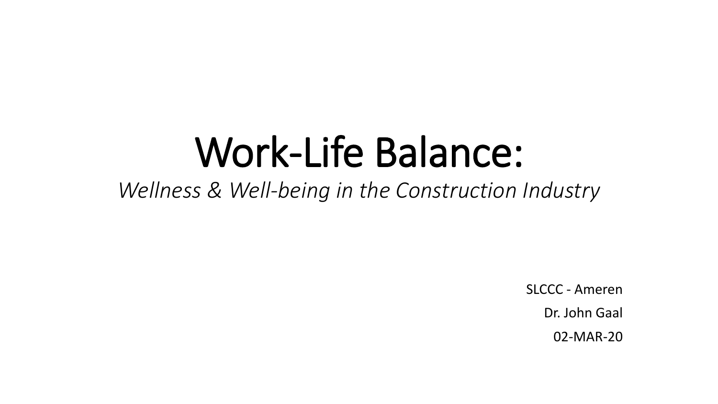# Work-Life Balance:

*Wellness & Well-being in the Construction Industry*

SLCCC - Ameren Dr. John Gaal 02-MAR-20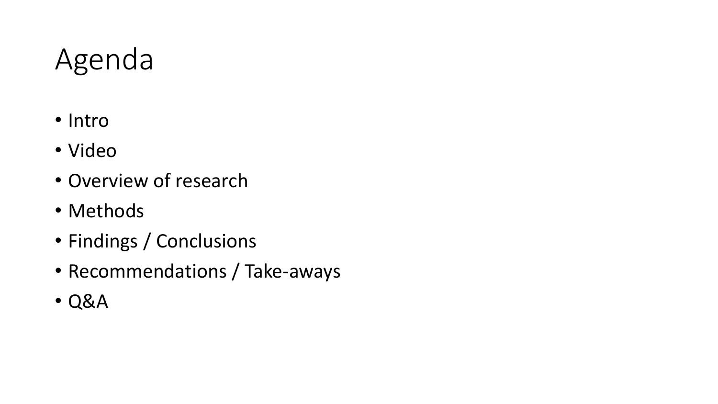#### Agenda

- Intro
- Video
- Overview of research
- Methods
- Findings / Conclusions
- Recommendations / Take-aways
- Q&A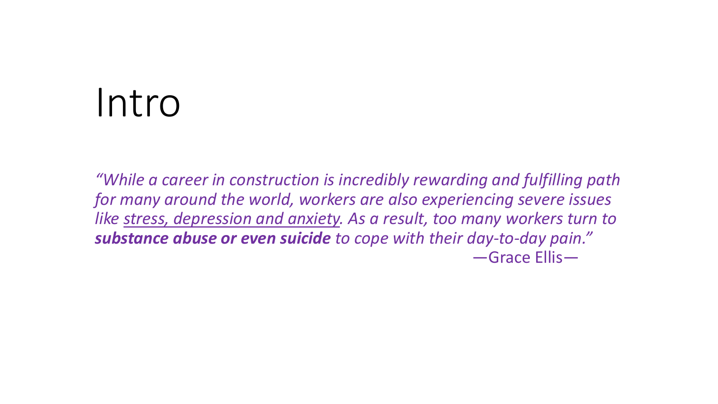# Intro

*"While a career in construction is incredibly rewarding and fulfilling path for many around the world, workers are also experiencing severe issues like stress, depression and anxiety. As a result, too many workers turn to substance abuse or even suicide to cope with their day-to-day pain."* —Grace Ellis—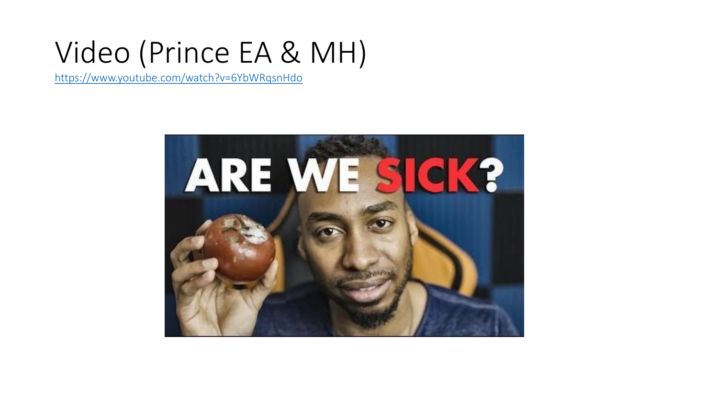#### Video (Prince EA & MH)

<https://www.youtube.com/watch?v=6YbWRqsnHdo>

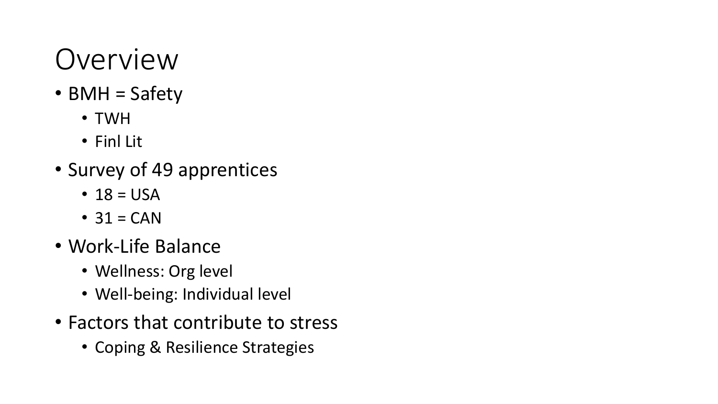#### Overview

- BMH = Safety
	- TWH
	- Finl Lit
- Survey of 49 apprentices
	- $18 = USA$
	- $\cdot$  31 = CAN
- Work-Life Balance
	- Wellness: Org level
	- Well-being: Individual level
- Factors that contribute to stress
	- Coping & Resilience Strategies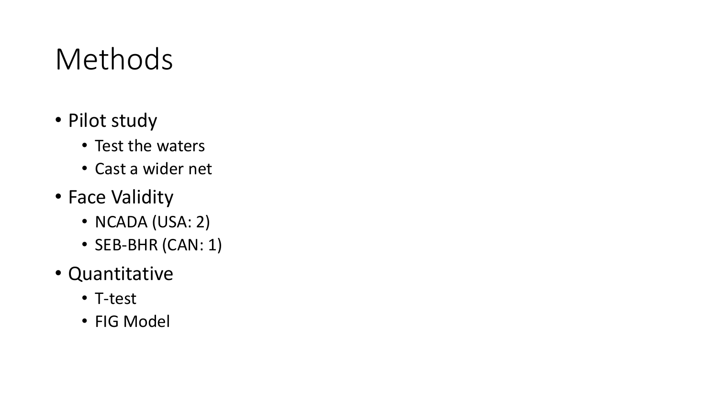#### Methods

- Pilot study
	- Test the waters
	- Cast a wider net
- Face Validity
	- NCADA (USA: 2)
	- SEB-BHR (CAN: 1)
- Quantitative
	- T-test
	- FIG Model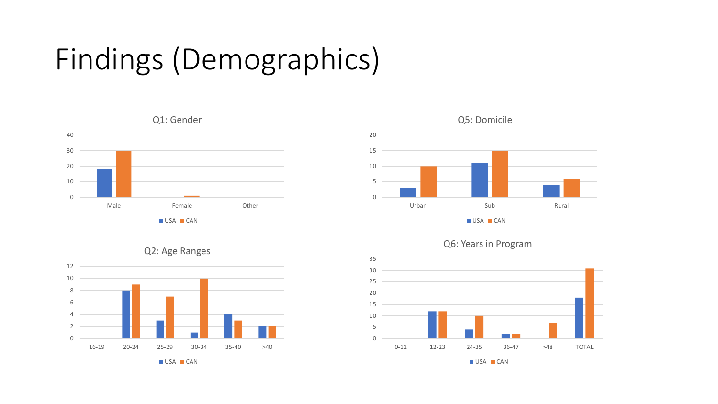## Findings (Demographics)









#### Q2: Age Ranges

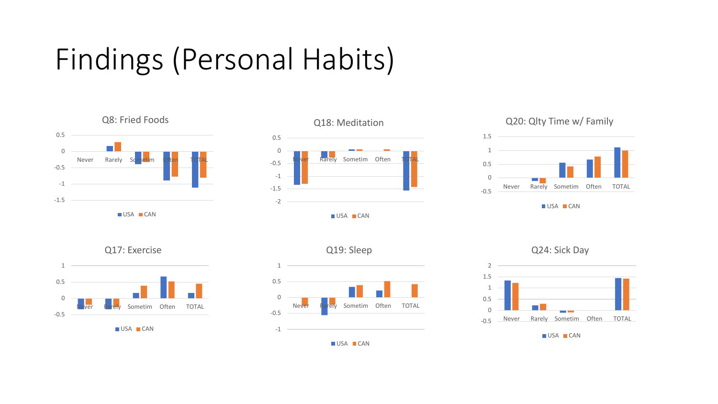## Findings (Personal Habits)













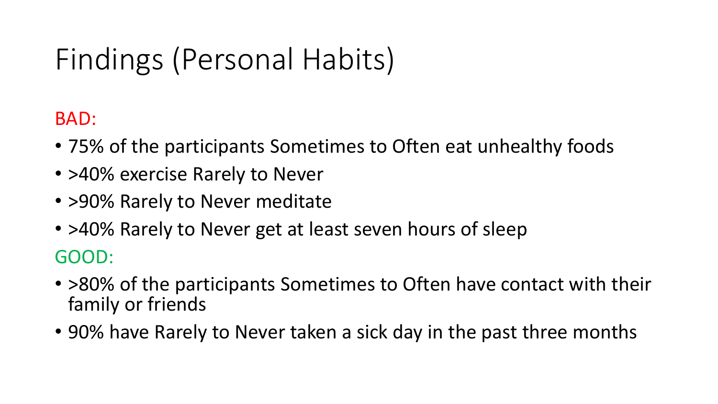## Findings (Personal Habits)

BAD:

- 75% of the participants Sometimes to Often eat unhealthy foods
- >40% exercise Rarely to Never
- > 90% Rarely to Never meditate
- >40% Rarely to Never get at least seven hours of sleep GOOD:
- >80% of the participants Sometimes to Often have contact with their family or friends
- 90% have Rarely to Never taken a sick day in the past three months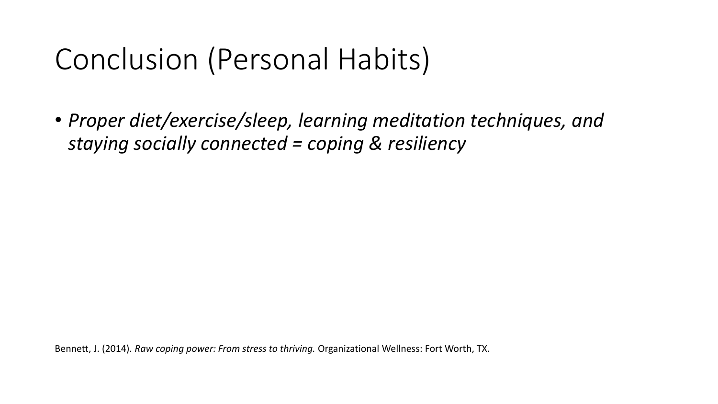#### Conclusion (Personal Habits)

• *Proper diet/exercise/sleep, learning meditation techniques, and staying socially connected = coping & resiliency*

Bennett, J. (2014). *Raw coping power: From stress to thriving.* Organizational Wellness: Fort Worth, TX.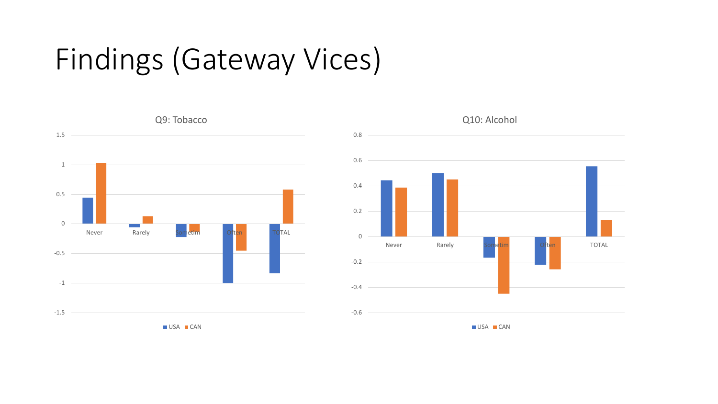#### Findings (Gateway Vices)



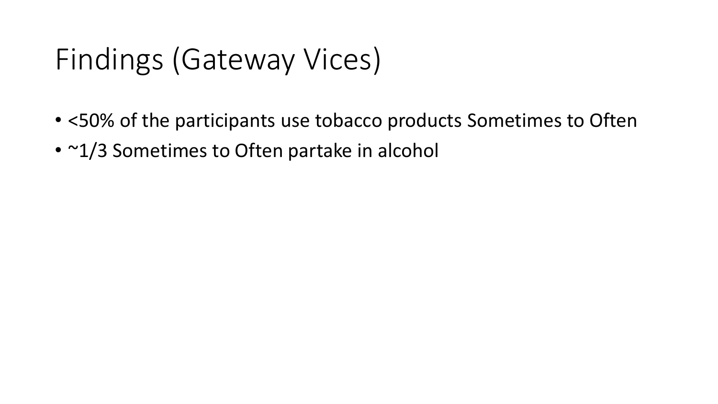#### Findings (Gateway Vices)

- <50% of the participants use tobacco products Sometimes to Often
- ~1/3 Sometimes to Often partake in alcohol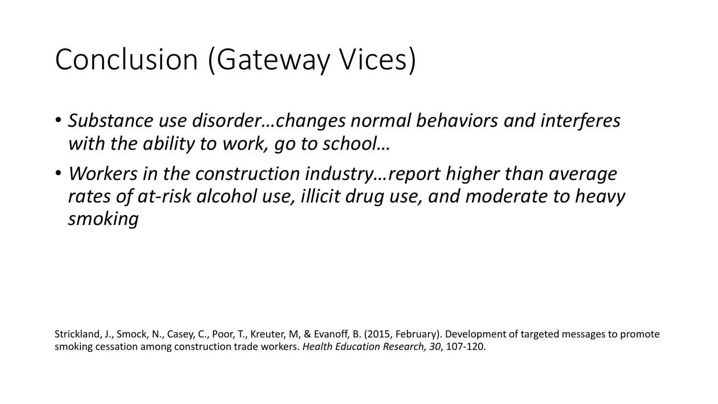#### Conclusion (Gateway Vices)

- *Substance use disorder…changes normal behaviors and interferes with the ability to work, go to school…*
- *Workers in the construction industry…report higher than average rates of at-risk alcohol use, illicit drug use, and moderate to heavy smoking*

Strickland, J., Smock, N., Casey, C., Poor, T., Kreuter, M, & Evanoff, B. (2015, February). Development of targeted messages to promote smoking cessation among construction trade workers. *Health Education Research, 30*, 107-120.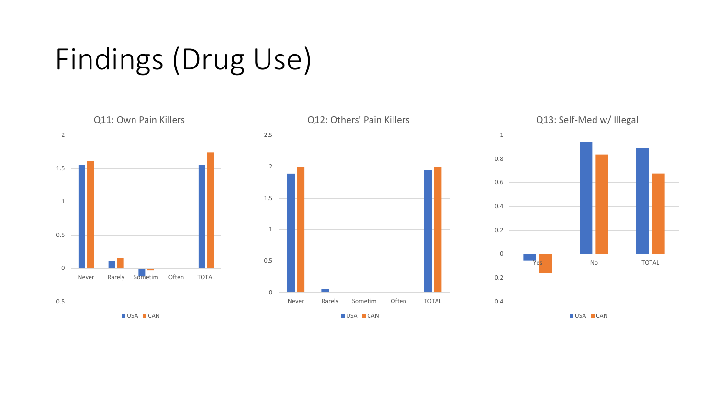#### Findings (Drug Use)

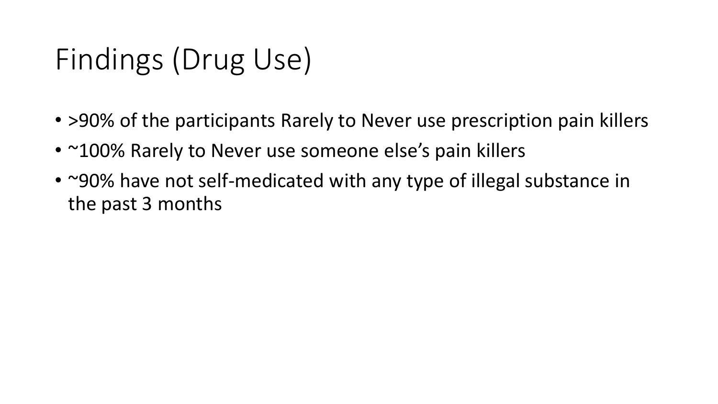## Findings (Drug Use)

- > 90% of the participants Rarely to Never use prescription pain killers
- ~100% Rarely to Never use someone else's pain killers
- ~90% have not self-medicated with any type of illegal substance in the past 3 months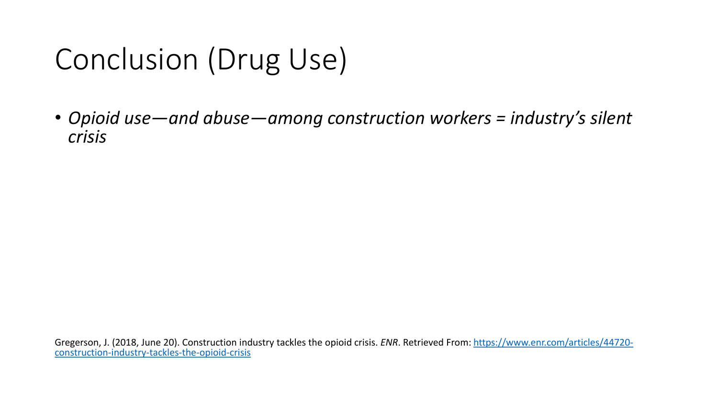### Conclusion (Drug Use)

• *Opioid use—and abuse—among construction workers = industry's silent crisis*

[Gregerson, J. \(2018, June 20\). Construction industry tackles the opioid crisis.](https://www.enr.com/articles/44720-construction-industry-tackles-the-opioid-crisis) *ENR*. Retrieved From: https://www.enr.com/articles/44720 construction-industry-tackles-the-opioid-crisis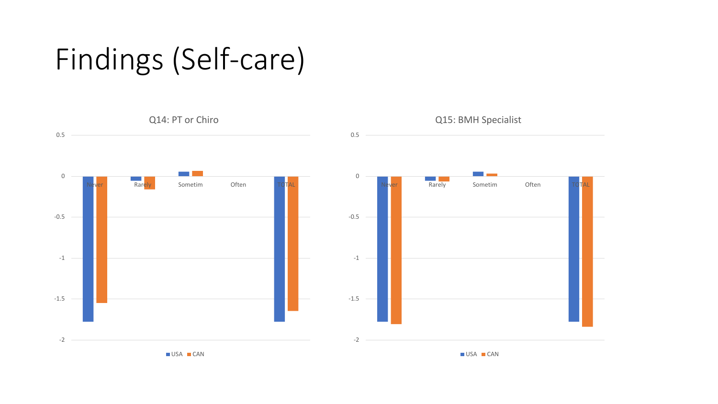#### Findings (Self-care)

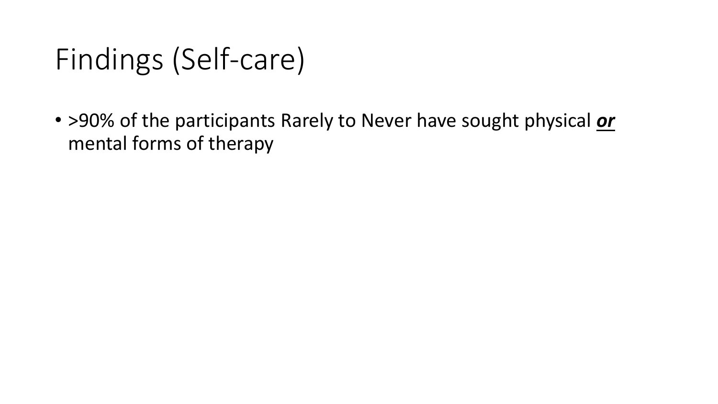#### Findings (Self-care)

• >90% of the participants Rarely to Never have sought physical *or* mental forms of therapy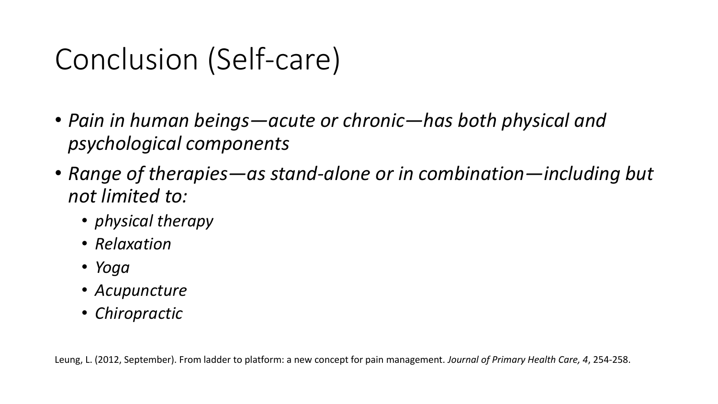#### Conclusion (Self-care)

- *Pain in human beings—acute or chronic—has both physical and psychological components*
- *Range of therapies—as stand-alone or in combination—including but not limited to:*
	- *physical therapy*
	- *Relaxation*
	- *Yoga*
	- *Acupuncture*
	- *Chiropractic*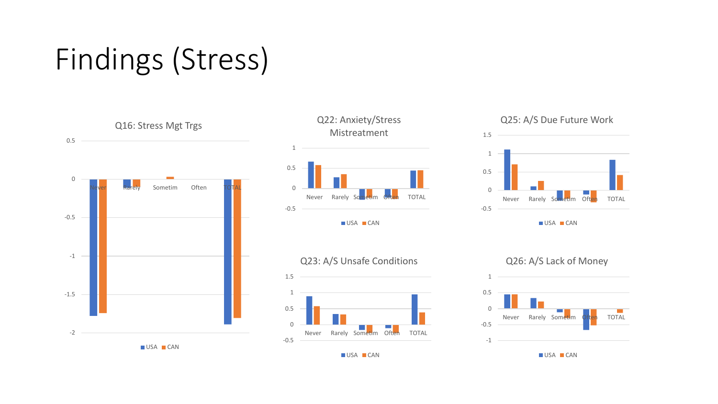## Findings (Stress)







USA CAN

#### Q25: A/S Due Future Work



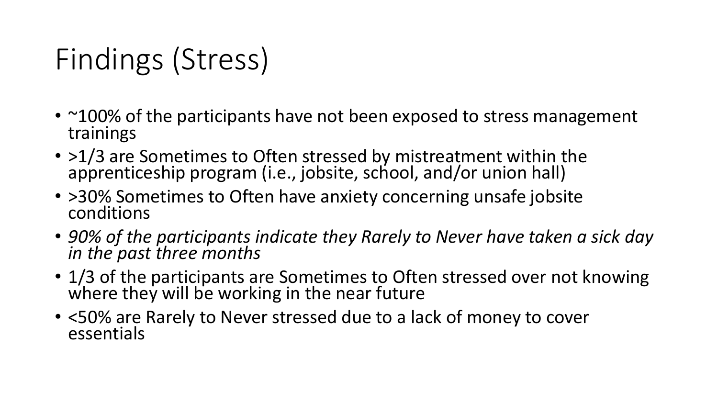## Findings (Stress)

- ~100% of the participants have not been exposed to stress management trainings
- >1/3 are Sometimes to Often stressed by mistreatment within the apprenticeship program (i.e., jobsite, school, and/or union hall)
- > 30% Sometimes to Often have anxiety concerning unsafe jobsite conditions
- *90% of the participants indicate they Rarely to Never have taken a sick day in the past three months*
- 1/3 of the participants are Sometimes to Often stressed over not knowing where they will be working in the near future
- <50% are Rarely to Never stressed due to a lack of money to cover essentials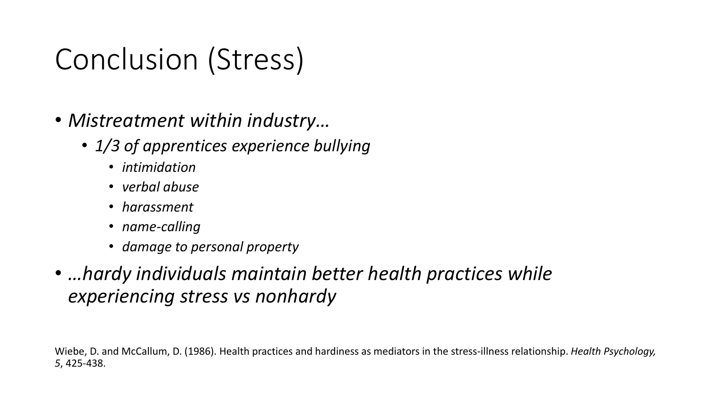#### Conclusion (Stress)

- *Mistreatment within industry…*
	- *1/3 of apprentices experience bullying*
		- *intimidation*
		- *verbal abuse*
		- *harassment*
		- *name-calling*
		- *damage to personal property*
- *…hardy individuals maintain better health practices while experiencing stress vs nonhardy*

Wiebe, D. and McCallum, D. (1986). Health practices and hardiness as mediators in the stress-illness relationship. *Health Psychology, 5*, 425-438.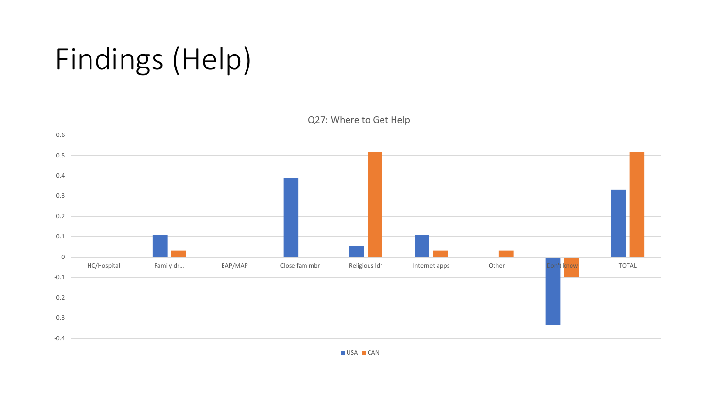## Findings (Help)



USA CAN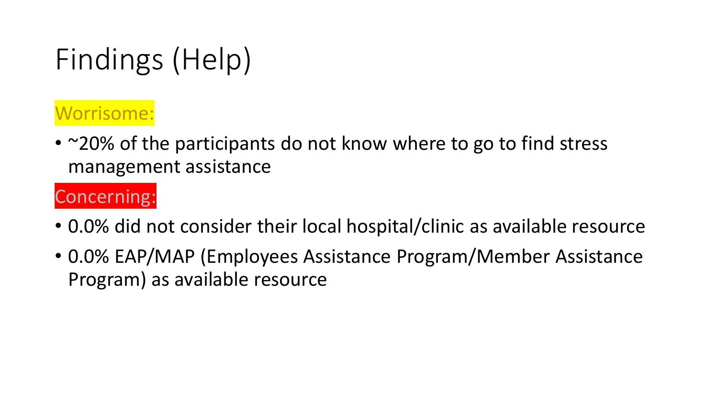## Findings (Help)

#### Worrisome:

• ~20% of the participants do not know where to go to find stress management assistance

#### Concerning:

- 0.0% did not consider their local hospital/clinic as available resource
- 0.0% EAP/MAP (Employees Assistance Program/Member Assistance Program) as available resource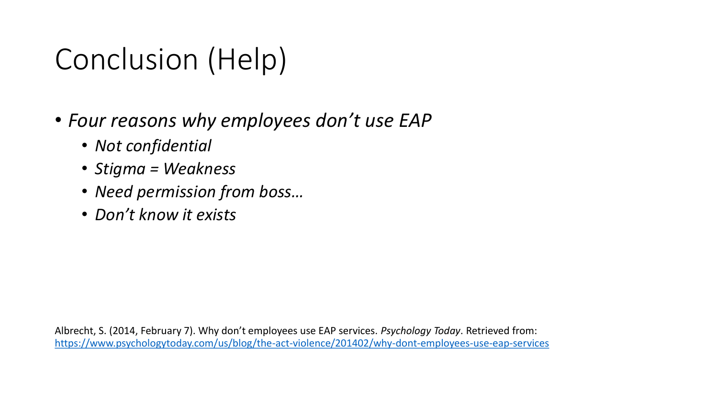## Conclusion (Help)

- *Four reasons why employees don't use EAP*
	- *Not confidential*
	- *Stigma = Weakness*
	- *Need permission from boss…*
	- *Don't know it exists*

Albrecht, S. (2014, February 7). Why don't employees use EAP services. *Psychology Today*. Retrieved from: <https://www.psychologytoday.com/us/blog/the-act-violence/201402/why-dont-employees-use-eap-services>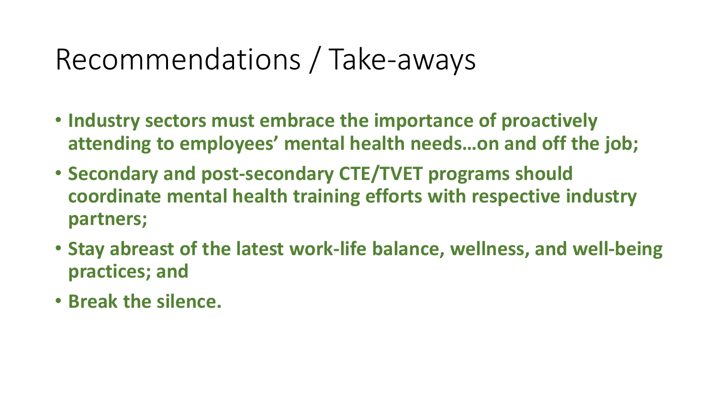#### Recommendations / Take-aways

- **Industry sectors must embrace the importance of proactively attending to employees' mental health needs…on and off the job;**
- **Secondary and post-secondary CTE/TVET programs should coordinate mental health training efforts with respective industry partners;**
- **Stay abreast of the latest work-life balance, wellness, and well-being practices; and**
- **Break the silence.**